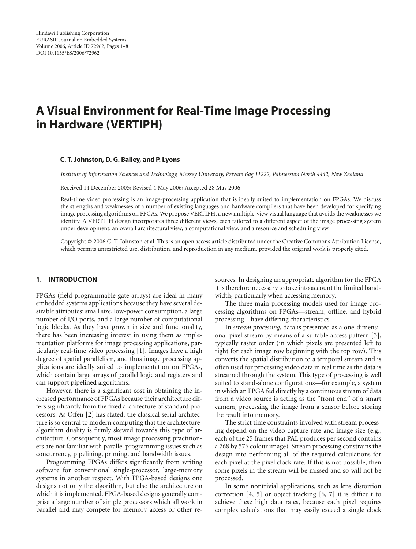# <span id="page-0-0"></span>**A Visual Environment for Real-Time Image Processing in Hardware (VERTIPH)**

## **C. T. Johnston, D. G. Bailey, and P. Lyons**

*Institute of Information Sciences and Technology, Massey University, Private Bag 11222, Palmerston North 4442, New Zealand*

Received 14 December 2005; Revised 4 May 2006; Accepted 28 May 2006

Real-time video processing is an image-processing application that is ideally suited to implementation on FPGAs. We discuss the strengths and weaknesses of a number of existing languages and hardware compilers that have been developed for specifying image processing algorithms on FPGAs. We propose VERTIPH, a new multiple-view visual language that avoids the weaknesses we identify. A VERTIPH design incorporates three different views, each tailored to a different aspect of the image processing system under development; an overall architectural view, a computational view, and a resource and scheduling view.

Copyright © 2006 C. T. Johnston et al. This is an open access article distributed under the Creative Commons Attribution License, which permits unrestricted use, distribution, and reproduction in any medium, provided the original work is properly cited.

# **1. INTRODUCTION**

FPGAs (field programmable gate arrays) are ideal in many embedded systems applications because they have several desirable attributes: small size, low-power consumption, a large number of I/O ports, and a large number of computational logic blocks. As they have grown in size and functionality, there has been increasing interest in using them as implementation platforms for image processing applications, particularly real-time video processing [\[1\]](#page-6-1). Images have a high degree of spatial parallelism, and thus image processing applications are ideally suited to implementation on FPGAs, which contain large arrays of parallel logic and registers and can support pipelined algorithms.

However, there is a significant cost in obtaining the increased performance of FPGAs because their architecture differs significantly from the fixed architecture of standard processors. As Offen [\[2\]](#page-6-2) has stated, the classical serial architecture is so central to modern computing that the architecturealgorithm duality is firmly skewed towards this type of architecture. Consequently, most image processing practitioners are not familiar with parallel programming issues such as concurrency, pipelining, priming, and bandwidth issues.

Programming FPGAs differs significantly from writing software for conventional single-processor, large-memory systems in another respect. With FPGA-based designs one designs not only the algorithm, but also the architecture on which it is implemented. FPGA-based designs generally comprise a large number of simple processors which all work in parallel and may compete for memory access or other resources. In designing an appropriate algorithm for the FPGA it is therefore necessary to take into account the limited bandwidth, particularly when accessing memory.

The three main processing models used for image processing algorithms on FPGAs—stream, offline, and hybrid processing—have differing characteristics.

In *stream processing*, data is presented as a one-dimensional pixel stream by means of a suitable access pattern [\[3](#page-6-3)], typically raster order (in which pixels are presented left to right for each image row beginning with the top row). This converts the spatial distribution to a temporal stream and is often used for processing video data in real time as the data is streamed through the system. This type of processing is well suited to stand-alone configurations—for example, a system in which an FPGA fed directly by a continuous stream of data from a video source is acting as the "front end" of a smart camera, processing the image from a sensor before storing the result into memory.

The strict time constraints involved with stream processing depend on the video capture rate and image size (e.g., each of the 25 frames that PAL produces per second contains a 768 by 576 colour image). Stream processing constrains the design into performing all of the required calculations for each pixel at the pixel clock rate. If this is not possible, then some pixels in the stream will be missed and so will not be processed.

In some nontrivial applications, such as lens distortion correction  $[4, 5]$  $[4, 5]$  $[4, 5]$  or object tracking  $[6, 7]$  $[6, 7]$  $[6, 7]$  it is difficult to achieve these high data rates, because each pixel requires complex calculations that may easily exceed a single clock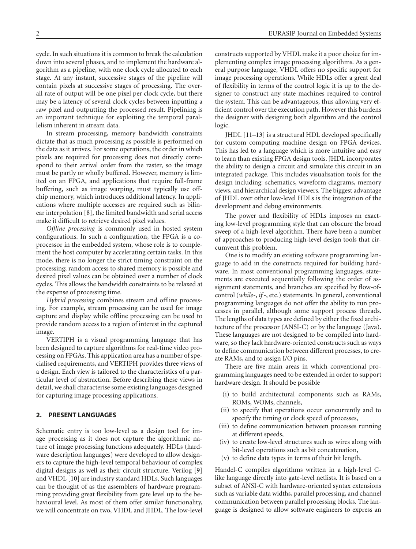cycle. In such situations it is common to break the calculation down into several phases, and to implement the hardware algorithm as a pipeline, with one clock cycle allocated to each stage. At any instant, successive stages of the pipeline will contain pixels at successive stages of processing. The overall rate of output will be one pixel per clock cycle, but there may be a latency of several clock cycles between inputting a raw pixel and outputting the processed result. Pipelining is an important technique for exploiting the temporal parallelism inherent in stream data.

In stream processing, memory bandwidth constraints dictate that as much processing as possible is performed on the data as it arrives. For some operations, the order in which pixels are required for processing does not directly correspond to their arrival order from the raster, so the image must be partly or wholly buffered. However, memory is limited on an FPGA, and applications that require full-frame buffering, such as image warping, must typically use offchip memory, which introduces additional latency. In applications where multiple accesses are required such as bilinear interpolation [\[8\]](#page-6-8), the limited bandwidth and serial access make it difficult to retrieve desired pixel values.

*Offline processing* is commonly used in hosted system configurations. In such a configuration, the FPGA is a coprocessor in the embedded system, whose role is to complement the host computer by accelerating certain tasks. In this mode, there is no longer the strict timing constraint on the processing; random access to shared memory is possible and desired pixel values can be obtained over a number of clock cycles. This allows the bandwidth constraints to be relaxed at the expense of processing time.

*Hybrid processing* combines stream and offline processing. For example, stream processing can be used for image capture and display while offline processing can be used to provide random access to a region of interest in the captured image.

VERTIPH is a visual programming language that has been designed to capture algorithms for real-time video processing on FPGAs. This application area has a number of specialised requirements, and VERTIPH provides three views of a design. Each view is tailored to the characteristics of a particular level of abstraction. Before describing these views in detail, we shall characterise some existing languages designed for capturing image processing applications.

# **2. PRESENT LANGUAGES**

Schematic entry is too low-level as a design tool for image processing as it does not capture the algorithmic nature of image processing functions adequately. HDLs (hardware description languages) were developed to allow designers to capture the high-level temporal behaviour of complex digital designs as well as their circuit structure. Verilog [\[9\]](#page-7-0) and VHDL [\[10](#page-7-1)] are industry standard HDLs. Such languages can be thought of as the assemblers of hardware programming providing great flexibility from gate level up to the behavioural level. As most of them offer similar functionality, we will concentrate on two, VHDL and JHDL. The low-level

constructs supported by VHDL make it a poor choice for implementing complex image processing algorithms. As a general purpose language, VHDL offers no specific support for image processing operations. While HDLs offer a great deal of flexibility in terms of the control logic it is up to the designer to construct any state machines required to control the system. This can be advantageous, thus allowing very efficient control over the execution path. However this burdens the designer with designing both algorithm and the control logic.

JHDL [\[11](#page-7-2)[–13\]](#page-7-3) is a structural HDL developed specifically for custom computing machine design on FPGA devices. This has led to a language which is more intuitive and easy to learn than existing FPGA design tools. JHDL incorporates the ability to design a circuit and simulate this circuit in an integrated package. This includes visualisation tools for the design including: schematics, waveform diagrams, memory views, and hierarchical design viewers. The biggest advantage of JHDL over other low-level HDLs is the integration of the development and debug environments.

The power and flexibility of HDLs imposes an exacting low-level programming style that can obscure the broad sweep of a high-level algorithm. There have been a number of approaches to producing high-level design tools that circumvent this problem.

One is to modify an existing software programming language to add in the constructs required for building hardware. In most conventional programming languages, statements are executed sequentially following the order of assignment statements, and branches are specified by flow-ofcontrol (*while*-, *if*-, etc.) statements. In general, conventional programming languages do not offer the ability to run processes in parallel, although some support process threads. The lengths of data types are defined by either the fixed architecture of the processor (ANSI-C) or by the language (Java). These languages are not designed to be compiled into hardware, so they lack hardware-oriented constructs such as ways to define communication between different processes, to create RAMs, and to assign I/O pins.

There are five main areas in which conventional programming languages need to be extended in order to support hardware design. It should be possible

- (i) to build architectural components such as RAMs, ROMs, WOMs, channels,
- (ii) to specify that operations occur concurrently and to specify the timing or clock speed of processes,
- (iii) to define communication between processes running at different speeds,
- (iv) to create low-level structures such as wires along with bit-level operations such as bit concatenation,
- (v) to define data types in terms of their bit length.

Handel-C compiles algorithms written in a high-level Clike language directly into gate-level netlists. It is based on a subset of ANSI-C with hardware-oriented syntax extensions such as variable data widths, parallel processing, and channel communication between parallel processing blocks. The language is designed to allow software engineers to express an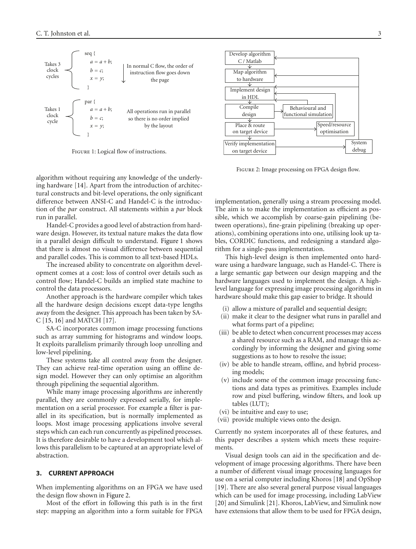

Figure 1: Logical flow of instructions.

<span id="page-2-0"></span>algorithm without requiring any knowledge of the underlying hardware [\[14\]](#page-7-4). Apart from the introduction of architectural constructs and bit-level operations, the only significant difference between ANSI-C and Handel-C is the introduction of the *par* construct. All statements within a *par* block run in parallel.

Handel-C provides a good level of abstraction from hardware design. However, its textual nature makes the data flow in a parallel design difficult to understand. [Figure 1](#page-2-0) shows that there is almost no visual difference between sequential and parallel codes. This is common to all text-based HDLs.

The increased ability to concentrate on algorithm development comes at a cost: loss of control over details such as control flow; Handel-C builds an implied state machine to control the data processors.

Another approach is the hardware compiler which takes all the hardware design decisions except data-type lengths away from the designer. This approach has been taken by SA-C [\[15](#page-7-5), [16](#page-7-6)] and MATCH [\[17\]](#page-7-7).

SA-C incorporates common image processing functions such as array summing for histograms and window loops. It exploits parallelism primarily through loop unrolling and low-level pipelining.

These systems take all control away from the designer. They can achieve real-time operation using an offline design model. However they can only optimise an algorithm through pipelining the sequential algorithm.

While many image processing algorithms are inherently parallel, they are commonly expressed serially, for implementation on a serial processor. For example a filter is parallel in its specification, but is normally implemented as loops. Most image processing applications involve several steps which can each run concurrently as pipelined processes. It is therefore desirable to have a development tool which allows this parallelism to be captured at an appropriate level of abstraction.

# <span id="page-2-2"></span>**3. CURRENT APPROACH**

When implementing algorithms on an FPGA we have used the design flow shown in [Figure 2.](#page-2-1)

Most of the effort in following this path is in the first step: mapping an algorithm into a form suitable for FPGA



<span id="page-2-1"></span>FIGURE 2: Image processing on FPGA design flow.

implementation, generally using a stream processing model. The aim is to make the implementation as efficient as possible, which we accomplish by coarse-gain pipelining (between operations), fine-grain pipelining (breaking up operations), combining operations into one, utilising look up tables, CORDIC functions, and redesigning a standard algorithm for a single-pass implementation.

This high-level design is then implemented onto hardware using a hardware language, such as Handel-C. There is a large semantic gap between our design mapping and the hardware languages used to implement the design. A highlevel language for expressing image processing algorithms in hardware should make this gap easier to bridge. It should

- (i) allow a mixture of parallel and sequential design;
- (ii) make it clear to the designer what runs in parallel and what forms part of a pipeline;
- (iii) be able to detect when concurrent processes may access a shared resource such as a RAM, and manage this accordingly by informing the designer and giving some suggestions as to how to resolve the issue;
- (iv) be able to handle stream, offline, and hybrid processing models;
- (v) include some of the common image processing functions and data types as primitives. Examples include row and pixel buffering, window filters, and look up tables (LUT);
- (vi) be intuitive and easy to use;
- (vii) provide multiple views onto the design.

Currently no system incorporates all of these features, and this paper describes a system which meets these requirements.

Visual design tools can aid in the specification and development of image processing algorithms. There have been a number of different visual image processing languages for use on a serial computer including Khoros [\[18\]](#page-7-8) and OpShop [\[19](#page-7-9)]. There are also several general purpose visual languages which can be used for image processing, including LabView [\[20](#page-7-10)] and Simulink [\[21\]](#page-7-11). Khoros, LabView, and Simulink now have extensions that allow them to be used for FPGA design,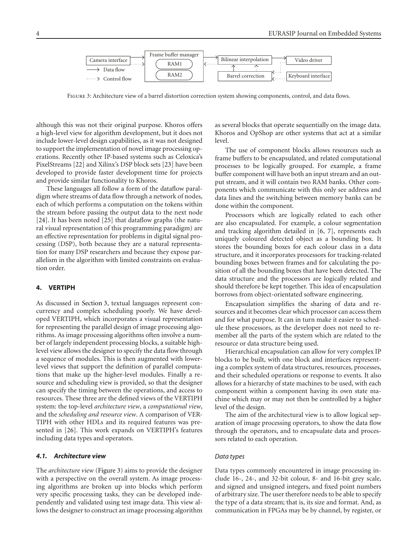

FIGURE 3: Architecture view of a barrel distortion correction system showing components, control, and data flows.

<span id="page-3-0"></span>although this was not their original purpose. Khoros offers a high-level view for algorithm development, but it does not include lower-level design capabilities, as it was not designed to support the implementation of novel image processing operations. Recently other IP-based systems such as Celoxica's PixelStreams [\[22\]](#page-7-12) and Xilinx's DSP block sets [\[23](#page-7-13)] have been developed to provide faster development time for projects and provide similar functionality to Khoros.

These languages all follow a form of the dataflow paraldigm where streams of data flow through a network of nodes, each of which performs a computation on the tokens within the stream before passing the output data to the next node [\[24](#page-7-14)]. It has been noted [\[25\]](#page-7-15) that dataflow graphs (the natural visual representation of this programming paradigm) are an effective representation for problems in digital signal processing (DSP), both because they are a natural representation for many DSP researchers and because they expose parallelism in the algorithm with limited constraints on evaluation order.

# **4. VERTIPH**

As discussed in [Section 3,](#page-2-2) textual languages represent concurrency and complex scheduling poorly. We have developed VERTIPH, which incorporates a visual representation for representing the parallel design of image processing algorithms. As image processing algorithms often involve a number of largely independent processing blocks, a suitable highlevel view allows the designer to specify the data flow through a sequence of modules. This is then augmented with lowerlevel views that support the definition of parallel computations that make up the higher-level modules. Finally a resource and scheduling view is provided, so that the designer can specify the timing between the operations, and access to resources. These three are the defined views of the VERTIPH system: the top-level *architecture view*, a *computational view*, and the *scheduling and resource view*. A comparison of VER-TIPH with other HDLs and its required features was presented in [\[26](#page-7-16)]. This work expands on VERTIPH's features including data types and operators.

# *4.1. Architecture view*

The *architecture view* [\(Figure 3\)](#page-3-0) aims to provide the designer with a perspective on the overall system. As image processing algorithms are broken up into blocks which perform very specific processing tasks, they can be developed independently and validated using test image data. This view allows the designer to construct an image processing algorithm as several blocks that operate sequentially on the image data. Khoros and OpShop are other systems that act at a similar level.

The use of component blocks allows resources such as frame buffers to be encapsulated, and related computational processes to be logically grouped. For example, a frame buffer component will have both an input stream and an output stream, and it will contain two RAM banks. Other components which communicate with this only see address and data lines and the switching between memory banks can be done within the component.

Processors which are logically related to each other are also encapsulated. For example, a colour segmentation and tracking algorithm detailed in [\[6](#page-6-6), [7\]](#page-6-7), represents each uniquely coloured detected object as a bounding box. It stores the bounding boxes for each colour class in a data structure, and it incorporates processors for tracking-related bounding boxes between frames and for calculating the position of all the bounding boxes that have been detected. The data structure and the processors are logically related and should therefore be kept together. This idea of encapsulation borrows from object-orientated software engineering.

Encapsulation simplifies the sharing of data and resources and it becomes clear which processor can access them and for what purpose. It can in turn make it easier to schedule these processors, as the developer does not need to remember all the parts of the system which are related to the resource or data structure being used.

Hierarchical encapsulation can allow for very complex IP blocks to be built, with one block and interfaces representing a complex system of data structures, resources, processes, and their scheduled operations or response to events. It also allows for a hierarchy of state machines to be used, with each component within a component having its own state machine which may or may not then be controlled by a higher level of the design.

The aim of the architectural view is to allow logical separation of image processing operators, to show the data flow through the operators, and to encapsulate data and processors related to each operation.

#### *Data types*

Data types commonly encountered in image processing include 16-, 24-, and 32-bit colour, 8- and 16-bit grey scale, and signed and unsigned integers, and fixed point numbers of arbitrary size. The user therefore needs to be able to specify the type of a data stream; that is, its size and format. And, as communication in FPGAs may be by channel, by register, or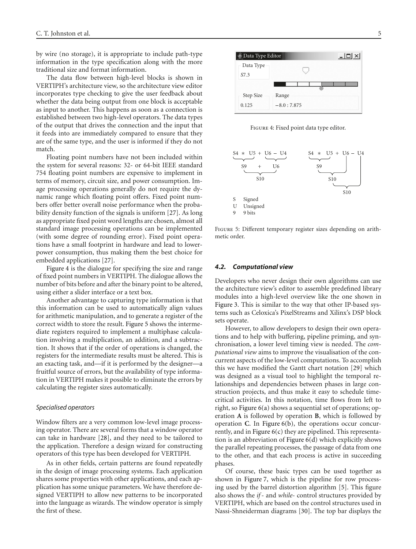by wire (no storage), it is appropriate to include path-type information in the type specification along with the more traditional size and format information.

The data flow between high-level blocks is shown in VERTIPH's architecture view, so the architecture view editor incorporates type checking to give the user feedback about whether the data being output from one block is acceptable as input to another. This happens as soon as a connection is established between two high-level operators. The data types of the output that drives the connection and the input that it feeds into are immediately compared to ensure that they are of the same type, and the user is informed if they do not match.

Floating point numbers have not been included within the system for several reasons: 32- or 64-bit IEEE standard 754 floating point numbers are expensive to implement in terms of memory, circuit size, and power consumption. Image processing operations generally do not require the dynamic range which floating point offers. Fixed point numbers offer better overall noise performance when the probability density function of the signals is uniform [\[27](#page-7-17)]. As long as appropriate fixed point word lengths are chosen, almost all standard image processing operations can be implemented (with some degree of rounding error). Fixed point operations have a small footprint in hardware and lead to lowerpower consumption, thus making them the best choice for embedded applications [\[27\]](#page-7-17).

[Figure 4](#page-4-0) is the dialogue for specifying the size and range of fixed point numbers in VERTIPH. The dialogue allows the number of bits before and after the binary point to be altered, using either a slider interface or a text box.

Another advantage to capturing type information is that this information can be used to automatically align values for arithmetic manipulation, and to generate a register of the correct width to store the result. [Figure 5](#page-4-1) shows the intermediate registers required to implement a multiphase calculation involving a multiplication, an addition, and a subtraction. It shows that if the order of operations is changed, the registers for the intermediate results must be altered. This is an exacting task, and—if it is performed by the designer—a fruitful source of errors, but the availability of type information in VERTIPH makes it possible to eliminate the errors by calculating the register sizes automatically.

## *Specialised operators*

Window filters are a very common low-level image processing operator. There are several forms that a window operator can take in hardware [\[28\]](#page-7-18), and they need to be tailored to the application. Therefore a design wizard for constructing operators of this type has been developed for VERTIPH.

As in other fields, certain patterns are found repeatedly in the design of image processing systems. Each application shares some properties with other applications, and each application has some unique parameters. We have therefore designed VERTIPH to allow new patterns to be incorporated into the language as wizards. The window operator is simply the first of these.



Figure 4: Fixed point data type editor.

<span id="page-4-0"></span>

<span id="page-4-1"></span>Figure 5: Different temporary register sizes depending on arithmetic order.

## *4.2. Computational view*

Developers who never design their own algorithms can use the architecture view's editor to assemble predefined library modules into a high-level overview like the one shown in [Figure 3.](#page-3-0) This is similar to the way that other IP-based systems such as Celoxica's PixelStreams and Xilinx's DSP block sets operate.

However, to allow developers to design their own operations and to help with buffering, pipeline priming, and synchronisation, a lower level timing view is needed. The *computational view* aims to improve the visualisation of the concurrent aspects of the low-level computations. To accomplish this we have modified the Gantt chart notation [\[29](#page-7-19)] which was designed as a visual tool to highlight the temporal relationships and dependencies between phases in large construction projects, and thus make it easy to schedule timecritical activities. In this notation, time flows from left to right, so [Figure 6\(a\)](#page-5-0) shows a sequential set of operations; operation **A** is followed by operation **B**, which is followed by operation **C**. In [Figure 6\(b\),](#page-5-1) the operations occur concurrently, and in Figure  $6(c)$  they are pipelined. This representation is an abbreviation of [Figure 6\(d\)](#page-5-3) which explicitly shows the parallel repeating processes, the passage of data from one to the other, and that each process is active in succeeding phases.

Of course, these basic types can be used together as shown in [Figure 7,](#page-5-4) which is the pipeline for row processing used by the barrel distortion algorithm [\[5](#page-6-5)]. This figure also shows the *if*- and *while*- control structures provided by VERTIPH, which are based on the control structures used in Nassi-Shneiderman diagrams [\[30\]](#page-7-20). The top bar displays the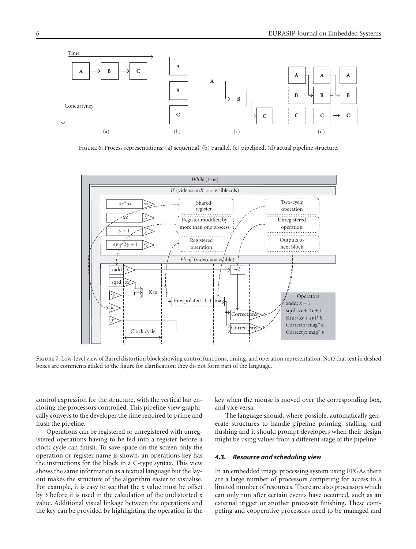<span id="page-5-0"></span>

<span id="page-5-3"></span><span id="page-5-2"></span><span id="page-5-1"></span>Figure 6: Process representations: (a) sequential, (b) parallel, (c) pipelined, (d) actual pipeline structure.



<span id="page-5-4"></span>FIGURE 7: Low-level view of Barrel distortion block showing control functions, timing, and operation representation. Note that text in dashed boxes are comments added to the figure for clarification; they do not form part of the language.

control expression for the structure, with the vertical bar enclosing the processors controlled. This pipeline view graphically conveys to the developer the time required to prime and flush the pipeline.

Operations can be registered or unregistered with unregistered operations having to be fed into a register before a clock cycle can finish. To save space on the screen only the operation or register name is shown, an operations key has the instructions for the block in a C-type syntax. This view shows the same information as a textual language but the layout makes the structure of the algorithm easier to visualise. For example, it is easy to see that the x value must be offset by 3 before it is used in the calculation of the undistorted x value. Additional visual linkage between the operations and the key can be provided by highlighting the operation in the

key when the mouse is moved over the corresponding box, and vice versa.

The language should, where possible, automatically generate structures to handle pipeline priming, stalling, and flushing and it should prompt developers when their design might be using values from a different stage of the pipeline.

## *4.3. Resource and scheduling view*

In an embedded image processing system using FPGAs there are a large number of processors competing for access to a limited number of resources. There are also processors which can only run after certain events have occurred, such as an external trigger or another processor finishing. These competing and cooperative processors need to be managed and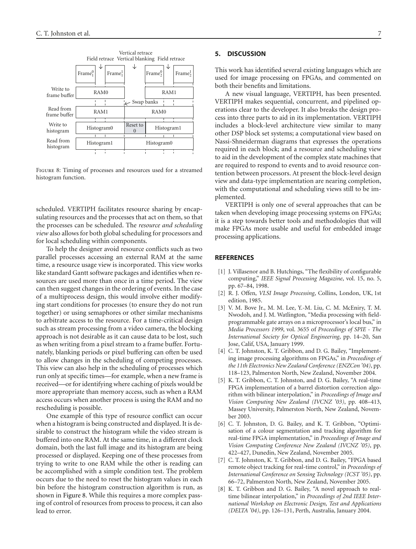

<span id="page-6-9"></span>Figure 8: Timing of processes and resources used for a streamed histogram function.

scheduled. VERTIPH facilitates resource sharing by encapsulating resources and the processes that act on them, so that the processes can be scheduled. The *resource and scheduling view* also allows for both global scheduling for processors and for local scheduling within components.

To help the designer avoid resource conflicts such as two parallel processes accessing an external RAM at the same time, a resource usage view is incorporated. This view works like standard Gantt software packages and identifies when resources are used more than once in a time period. The view can then suggest changes in the ordering of events. In the case of a multiprocess design, this would involve either modifying start conditions for processes (to ensure they do not run together) or using semaphores or other similar mechanisms to arbitrate access to the resource. For a time-critical design such as stream processing from a video camera, the blocking approach is not desirable as it can cause data to be lost, such as when writing from a pixel stream to a frame buffer. Fortunately, blanking periods or pixel buffering can often be used to allow changes in the scheduling of competing processes. This view can also help in the scheduling of processes which run only at specific times—for example, when a new frame is received—or for identifying where caching of pixels would be more appropriate than memory access, such as when a RAM access occurs when another process is using the RAM and no rescheduling is possible.

One example of this type of resource conflict can occur when a histogram is being constructed and displayed. It is desirable to construct the histogram while the video stream is buffered into one RAM. At the same time, in a different clock domain, both the last full image and its histogram are being processed or displayed. Keeping one of these processes from trying to write to one RAM while the other is reading can be accomplished with a simple condition test. The problem occurs due to the need to reset the histogram values in each bin before the histogram construction algorithm is run, as shown in [Figure 8.](#page-6-9) While this requires a more complex passing of control of resources from process to process, it can also lead to error.

# **5. DISCUSSION**

This work has identified several existing languages which are used for image processing on FPGAs, and commented on both their benefits and limitations.

A new visual language, VERTIPH, has been presented. VERTIPH makes sequential, concurrent, and pipelined operations clear to the developer. It also breaks the design process into three parts to aid in its implementation. VERTIPH includes a block-level architecture view similar to many other DSP block set systems; a computational view based on Nassi-Shneiderman diagrams that expresses the operations required in each block; and a resource and scheduling view to aid in the development of the complex state machines that are required to respond to events and to avoid resource contention between processors. At present the block-level design view and data-type implementation are nearing completion, with the computational and scheduling views still to be implemented.

VERTIPH is only one of several approaches that can be taken when developing image processing systems on FPGAs; it is a step towards better tools and methodologies that will make FPGAs more usable and useful for embedded image processing applications.

## <span id="page-6-1"></span><span id="page-6-0"></span>**REFERENCES**

- [1] J. Villasenor and B. Hutchings, "The flexibility of configurable computing," *IEEE Signal Processing Magazine*, vol. 15, no. 5, pp. 67–84, 1998.
- <span id="page-6-2"></span>[2] R. J. Offen, *VLSI Image Processing*, Collins, London, UK, 1st edition, 1985.
- <span id="page-6-3"></span>[3] V. M. Bove Jr., M. M. Lee, Y.-M. Liu, C. M. McEniry, T. M. Nwodoh, and J. M. Watlington, "Media processing with fieldprogrammable gate arrays on a microprocessor's local bus," in *Media Processors 1999*, vol. 3655 of *Proceedings of SPIE - The International Society for Optical Engineering*, pp. 14–20, San Jose, Calif, USA, January 1999.
- <span id="page-6-4"></span>[4] C. T. Johnston, K. T. Gribbon, and D. G. Bailey, "Implementing image processing algorithms on FPGAs," in *Proceedings of the 11th Electronics New Zealand Conference (ENZCon '04)*, pp. 118–123, Palmerston North, New Zealand, November 2004.
- <span id="page-6-5"></span>[5] K. T. Gribbon, C. T. Johnston, and D. G. Bailey, "A real-time FPGA implementation of a barrel distortion correction algorithm with bilinear interpolation," in *Proceedings of Image and Vision Computing New Zealand (IVCNZ '03)*, pp. 408–413, Massey University, Palmerston North, New Zealand, November 2003.
- <span id="page-6-6"></span>[6] C. T. Johnston, D. G. Bailey, and K. T. Gribbon, "Optimisation of a colour segmentation and tracking algorithm for real-time FPGA implementation," in *Proceedings of Image and Vision Computing Conference New Zealand (IVCNZ '05)*, pp. 422–427, Dunedin, New Zealand, November 2005.
- <span id="page-6-7"></span>[7] C. T. Johnston, K. T. Gribbon, and D. G. Bailey, "FPGA based remote object tracking for real-time control," in *Proceedings of International Conference on Sensing Technology (ICST '05)*, pp. 66–72, Palmerston North, New Zealand, November 2005.
- <span id="page-6-8"></span>[8] K. T. Gribbon and D. G. Bailey, "A novel approach to realtime bilinear interpolation," in *Proceedings of 2nd IEEE International Workshop on Electronic Design, Test and Applications (DELTA '04)*, pp. 126–131, Perth, Australia, January 2004.